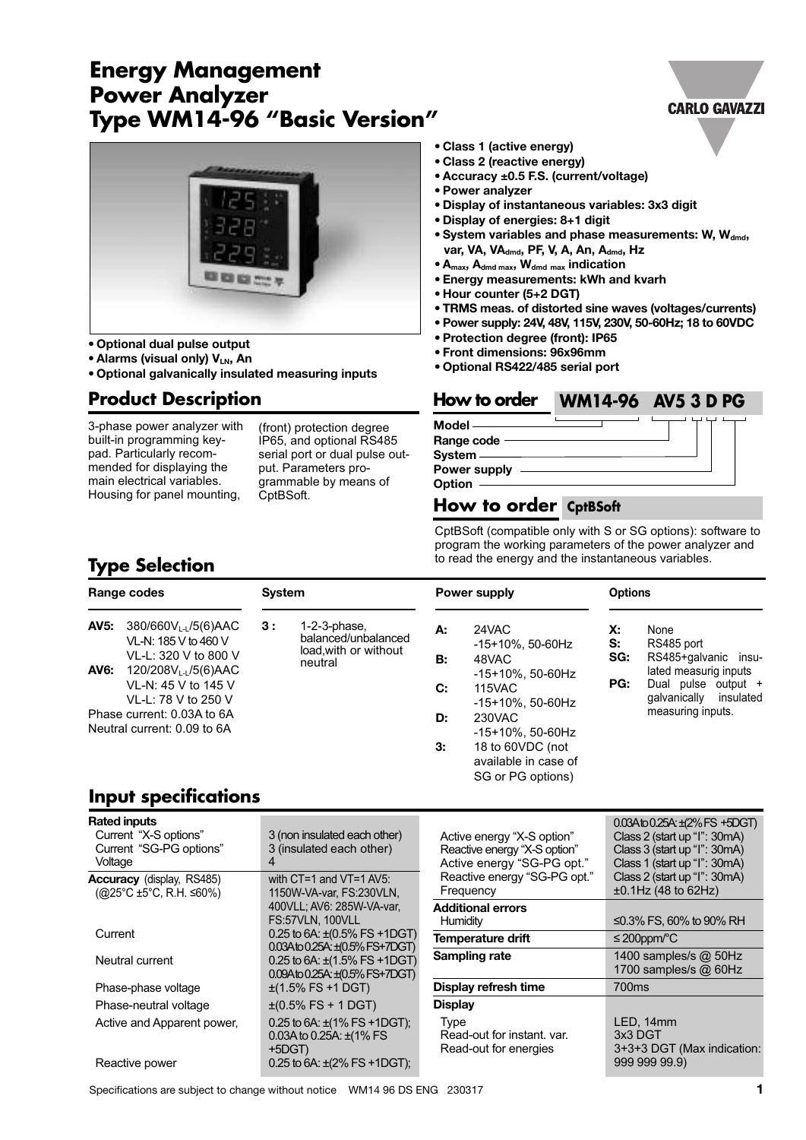# **Energy Management Power Analyzer Type WM14-96 "Basic Version‰**



**• Optional dual pulse output**

- **• Alarms (visual only) VLN, An**
- **• Optional galvanically insulated measuring inputs**

## **Product Description**

3-phase power analyzer with built-in programming keypad. Particularly recommended for displaying the main electrical variables. Housing for panel mounting,

(front) protection degree IP65, and optional RS485 serial port or dual pulse output. Parameters programmable by means of CptBSoft.

- **• Class 1 (active energy)**
- **• Class 2 (reactive energy)**
- **• Accuracy ±0.5 F.S. (current/voltage)**
- **• Power analyzer**
- **• Display of instantaneous variables: 3x3 digit**
- **• Display of energies: 8+1 digit**
- **• System variables and phase measurements: W, Wdmd, var, VA, VA**<sub>dmd</sub>, PF, V, A, An, A<sub>dmd</sub>, Hz
- **Amax, Admd max, Wdmd max indication**
- **• Energy measurements: kWh and kvarh**
- **• Hour counter (5+2 DGT)**
- **• TRMS meas. of distorted sine waves (voltages/currents)**
- **• Power supply: 24V, 48V, 115V, 230V, 50-60Hz; 18 to 60VDC**
- **• Protection degree (front): IP65**
- **• Front dimensions: 96x96mm**
- **• Optional RS422/485 serial port**

#### **How to order WM14-96 AV5 3 D PGX**

**Model Range code System Power supply**

## **Option**

**How to order CptBSoft**CptBSoft (compatible only with S or SG options): software to program the working parameters of the power analyzer and

to read the energy and the instantaneous variables.

## **Type Selection**

|                                                           | Range codes                                                                                                                                                | <b>System</b>                                                                    |                |                                                                                                 | Power supply           | <b>Options</b>                                                                                                                               |  |
|-----------------------------------------------------------|------------------------------------------------------------------------------------------------------------------------------------------------------------|----------------------------------------------------------------------------------|----------------|-------------------------------------------------------------------------------------------------|------------------------|----------------------------------------------------------------------------------------------------------------------------------------------|--|
| <b>AV5:</b><br>AV6:                                       | $380/660V_{L1}/5(6)$ AAC<br>VL-N: 185 V to 460 V<br>VL-L: 320 V to 800 V<br>120/208V <sub>L-L</sub> /5(6)AAC<br>VL-N: 45 V to 145 V<br>VL-L: 78 V to 250 V | 3:<br>$1-2-3$ -phase.<br>balanced/unbalanced<br>load, with or without<br>neutral | А:<br>В:<br>C: | 24VAC<br>-15+10%, 50-60Hz<br>48VAC<br>-15+10%, 50-60Hz<br><b>115VAC</b><br>$-15+10\%$ , 50-60Hz | Х:<br>S:<br>SG:<br>PG: | None<br>RS485 port<br>RS485+galvanic insu-<br>lated measurig inputs<br>Dual pulse output +<br>insulated<br>galvanically<br>measuring inputs. |  |
| Phase current: 0.03A to 6A<br>Neutral current: 0.09 to 6A |                                                                                                                                                            |                                                                                  | D:<br>3.       | 230VAC<br>$-15+10\%$ . 50-60Hz<br>18 to 60VDC (not<br>available in case of<br>SG or PG options) |                        |                                                                                                                                              |  |

## **Input specifications**

| <b>Rated inputs</b><br>Current "X-S options"<br>Current "SG-PG options"<br>Voltage  | 3 (non insulated each other)<br>3 (insulated each other)<br>4                  | Active energy "X-S option"<br>Reactive energy "X-S option"<br>Active energy "SG-PG opt." | $0.03A$ to $0.25A$ : $\pm$ (2% FS +5DGT)<br>Class 2 (start up "I": 30mA)<br>Class 3 (start up "I": 30mA)<br>Class 1 (start up "I": 30mA) |
|-------------------------------------------------------------------------------------|--------------------------------------------------------------------------------|------------------------------------------------------------------------------------------|------------------------------------------------------------------------------------------------------------------------------------------|
| <b>Accuracy</b> (display, RS485)<br>$(Q25^{\circ}C \pm 5^{\circ}C, R.H. \leq 60\%)$ | with $CT=1$ and $VT=1$ AV5:<br>1150W-VA-var. FS:230VLN.                        | Reactive energy "SG-PG opt."<br>Frequency                                                | Class 2 (start up "I": 30mA)<br>$±0.1$ Hz (48 to 62Hz)                                                                                   |
|                                                                                     | 400VLL; AV6: 285W-VA-var,<br>FS:57VLN, 100VLL                                  | <b>Additional errors</b><br>Humidity                                                     | ≤0.3% FS, 60% to 90% RH                                                                                                                  |
| Current                                                                             | 0.25 to 6A: $\pm$ (0.5% FS +1DGT)<br>0.03Ato 0.25A: ±(0.5% FS+7DGT)            | Temperature drift                                                                        | $\leq$ 200ppm/°C                                                                                                                         |
| Neutral current                                                                     | 0.25 to 6A: $\pm$ (1.5% FS +1DGT)<br>$0.09A$ to $0.25A: \pm (0.5\%$ FS+7DGT)   | Sampling rate                                                                            | 1400 samples/s $@$ 50Hz<br>1700 samples/s $@$ 60Hz                                                                                       |
| Phase-phase voltage                                                                 | $\pm$ (1.5% FS +1 DGT)                                                         | Display refresh time                                                                     | 700ms                                                                                                                                    |
| Phase-neutral voltage                                                               | $\pm (0.5\%$ FS + 1 DGT)                                                       | <b>Display</b>                                                                           |                                                                                                                                          |
| Active and Apparent power,                                                          | 0.25 to 6A: $\pm$ (1% FS +1DGT);<br>0.03A to 0.25A: $\pm$ (1% FS)<br>$+5$ DGT) | <b>Type</b><br>Read-out for instant, var.<br>Read-out for energies                       | LED. 14mm<br>3x3 DGT<br>3+3+3 DGT (Max indication:                                                                                       |
| Reactive power                                                                      | 0.25 to 6A: $\pm$ (2% FS +1DGT);                                               |                                                                                          | 999 999 99.9)                                                                                                                            |

Specifications are subject to change without notice WM14 96 DS ENG 230317 **1**

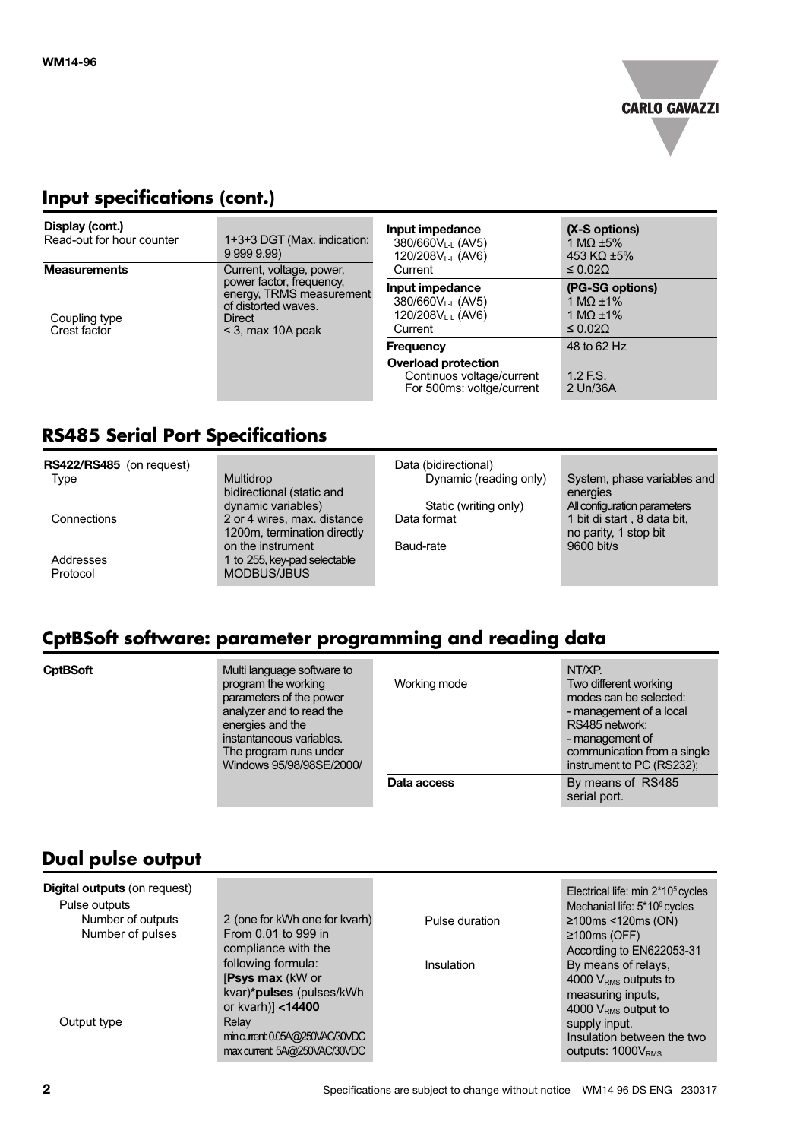

## **Input specifications (cont.)**

| Display (cont.)<br>Read-out for hour counter<br><b>Measurements</b> | 1+3+3 DGT (Max. indication:<br>99999.99<br>Current, voltage, power,                                          | Input impedance<br>380/660VL-L (AV5)<br>120/208V <sub>L-L</sub> (AV6)<br>Current             | (X-S options)<br>1 MQ $\pm 5\%$<br>453 KQ $\pm$ 5%<br>$\leq 0.02\Omega$ |
|---------------------------------------------------------------------|--------------------------------------------------------------------------------------------------------------|----------------------------------------------------------------------------------------------|-------------------------------------------------------------------------|
| Coupling type<br>Crest factor                                       | power factor, frequency,<br>energy, TRMS measurement<br>of distorted waves.<br>Direct<br>$<$ 3, max 10A peak | Input impedance<br>380/660V <sub>L-L</sub> (AV5)<br>120/208V <sub>L-L</sub> (AV6)<br>Current | (PG-SG options)<br>1 MQ $\pm$ 1%<br>1 MQ $\pm$ 1%<br>$\leq 0.02\Omega$  |
|                                                                     |                                                                                                              | <b>Frequency</b>                                                                             | 48 to 62 Hz                                                             |
|                                                                     |                                                                                                              | <b>Overload protection</b><br>Continuos voltage/current<br>For 500ms: voltge/current         | $1.2$ F.S.<br>2 Un/36A                                                  |

# **RS485 Serial Port Specifications**

| RS422/RS485 (on request)<br><b>Type</b> | <b>Multidrop</b>                                                 | Data (bidirectional)<br>Dynamic (reading only) | System, phase variables and                          |
|-----------------------------------------|------------------------------------------------------------------|------------------------------------------------|------------------------------------------------------|
|                                         | bidirectional (static and<br>dynamic variables)                  | Static (writing only)                          | energies<br>All configuration parameters             |
| Connections                             | 2 or 4 wires, max. distance<br>1200m, termination directly       | Data format                                    | 1 bit di start, 8 data bit,<br>no parity, 1 stop bit |
| Addresses<br>Protocol                   | on the instrument<br>1 to 255, key-pad selectable<br>MODBUS/JBUS | Baud-rate                                      | $9600$ bit/s                                         |
|                                         |                                                                  |                                                |                                                      |

# **CptBSoft software: parameter programming and reading data**

**CptBSoft multi** Multi language software to program the working parameters of the power analyzer and to read the energies and the instantaneous variables. The program runs under Windows 95/98/98SE/2000/

| Working mode | Two different working<br>modes can be selected:<br>- management of a local<br>RS485 network;<br>- management of<br>communication from a single<br>instrument to PC (RS232); |
|--------------|-----------------------------------------------------------------------------------------------------------------------------------------------------------------------------|
| Data access  | By means of RS485                                                                                                                                                           |

serial port.

# **Dual pulse output**

| <b>Digital outputs (on request)</b><br>Pulse outputs |                                                                |                | Electrical life: min 2*10 <sup>5</sup> cycles<br>Mechanial life: 5*10 <sup>6</sup> cycles |
|------------------------------------------------------|----------------------------------------------------------------|----------------|-------------------------------------------------------------------------------------------|
| Number of outputs                                    | 2 (one for kWh one for kvarh)                                  | Pulse duration | $\geq$ 100ms <120ms (ON)                                                                  |
| Number of pulses                                     | From 0.01 to 999 in                                            |                | $\geq 100 \text{ms}$ (OFF)                                                                |
|                                                      | compliance with the                                            |                | According to EN622053-31                                                                  |
|                                                      | following formula:                                             | Insulation     | By means of relays,                                                                       |
|                                                      | [Psys max (kW or                                               |                | 4000 $VRMS$ outputs to                                                                    |
|                                                      | kvar)*pulses (pulses/kWh                                       |                | measuring inputs,                                                                         |
|                                                      | or kvarh)] <14400                                              |                | 4000 $VRMS$ output to                                                                     |
| Output type                                          | Relay                                                          |                | supply input.                                                                             |
|                                                      | min current 0.05A@250VAC/30VDC<br>max current: 5A@250VAC/30VDC |                | Insulation between the two<br>outputs: $1000V_{RMS}$                                      |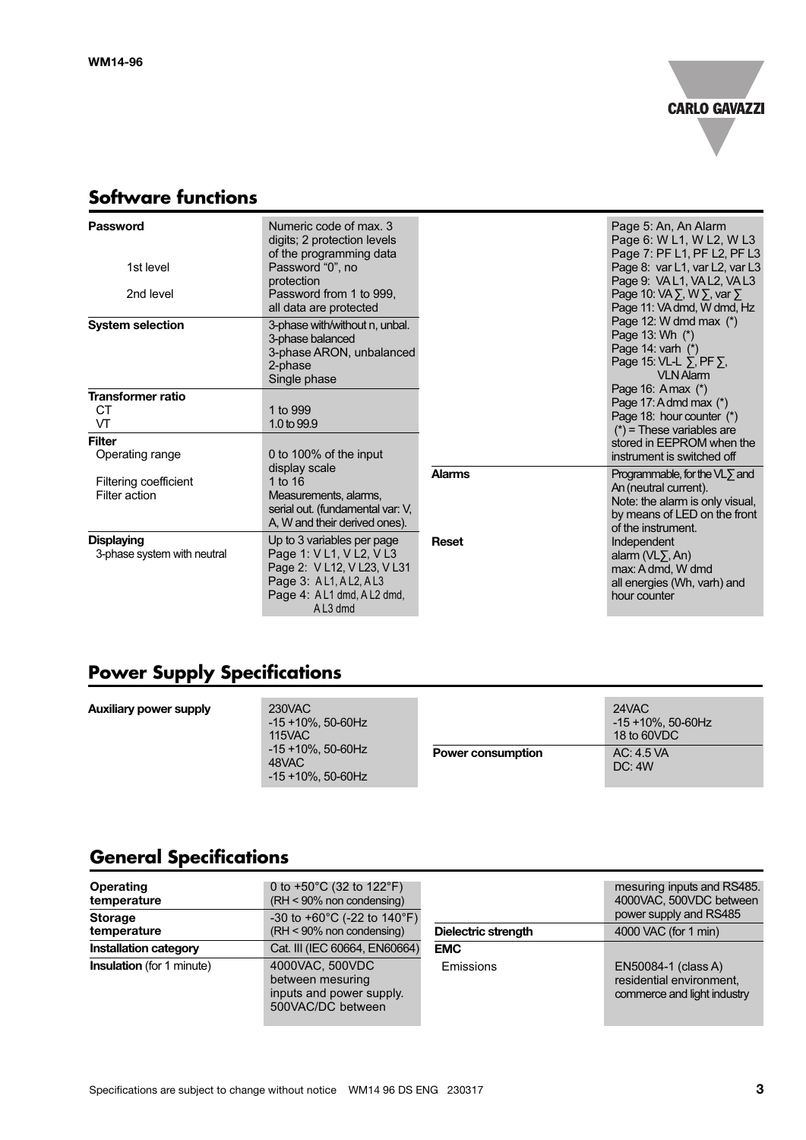

# **Software functions**

| <b>Password</b><br>1st level                     | Numeric code of max. 3<br>digits; 2 protection levels<br>of the programming data<br>Password "0", no<br>protection                                       |               | Page 5: An, An Alarm<br>Page 6: W L1, W L2, W L3<br>Page 7: PF L1, PF L2, PF L3<br>Page 8: var L1, var L2, var L3<br>Page 9: VAL1, VAL2, VAL3          |
|--------------------------------------------------|----------------------------------------------------------------------------------------------------------------------------------------------------------|---------------|--------------------------------------------------------------------------------------------------------------------------------------------------------|
| 2nd level                                        | Password from 1 to 999.<br>all data are protected                                                                                                        |               | Page 10: $VA \Sigma$ , W $\Sigma$ , var $\Sigma$<br>Page 11: VA dmd, W dmd, Hz                                                                         |
| <b>System selection</b>                          | 3-phase with/without n, unbal.<br>3-phase balanced<br>3-phase ARON, unbalanced<br>2-phase<br>Single phase                                                |               | Page 12: W dmd max $(*)$<br>Page 13: Wh (*)<br>Page 14: varh (*)<br>Page 15: VL-L ∑, PF ∑,<br><b>VLN Alarm</b>                                         |
| <b>Transformer ratio</b><br>СT<br>VT             | 1 to 999<br>1.0 to 99.9                                                                                                                                  |               | Page 16: A max (*)<br>Page 17: A dmd max (*)<br>Page 18: hour counter (*)<br>$(*)$ = These variables are                                               |
| <b>Filter</b><br>Operating range                 | 0 to 100% of the input                                                                                                                                   |               | stored in EEPROM when the<br>instrument is switched off                                                                                                |
| Filtering coefficient<br>Filter action           | display scale<br>1 to $16$<br>Measurements, alarms,<br>serial out. (fundamental var: V,<br>A, W and their derived ones).                                 | <b>Alarms</b> | Programmable, for the $VL\Sigma$ and<br>An (neutral current).<br>Note: the alarm is only visual,<br>by means of LED on the front<br>of the instrument. |
| <b>Displaying</b><br>3-phase system with neutral | Up to 3 variables per page<br>Page 1: V L1, V L2, V L3<br>Page 2: V L12, V L23, V L31<br>Page 3: AL1, AL2, AL3<br>Page 4: A L1 dmd, A L2 dmd,<br>AL3 dmd | Reset         | Independent<br>alarm $(VL2, An)$<br>max: A dmd, W dmd<br>all energies (Wh, varh) and<br>hour counter                                                   |

# **Power Supply Specifications**

| <b>Auxiliary power supply</b> | 230VAC<br>$-15 + 10\%$ , 50-60Hz<br>115VAC<br>-15 +10%, 50-60Hz<br>48VAC<br>$-15 + 10\%$ , 50-60Hz |                          | 24VAC<br>-15 +10%, 50-60Hz<br>18 to 60VDC |
|-------------------------------|----------------------------------------------------------------------------------------------------|--------------------------|-------------------------------------------|
|                               |                                                                                                    | <b>Power consumption</b> | AC: 4.5 VA<br>DC: 4W                      |

# **General Specifications**

| Operating<br>temperature<br><b>Storage</b> | 0 to $+50^{\circ}$ C (32 to 122 $^{\circ}$ F)<br>(RH < 90% non condensing)<br>-30 to +60 $^{\circ}$ C (-22 to 140 $^{\circ}$ F) |                     | mesuring inputs and RS485.<br>4000VAC, 500VDC between<br>power supply and RS485 |
|--------------------------------------------|---------------------------------------------------------------------------------------------------------------------------------|---------------------|---------------------------------------------------------------------------------|
| temperature                                | $(RH < 90\%$ non condensing)                                                                                                    | Dielectric strength | 4000 VAC (for 1 min)                                                            |
| <b>Installation category</b>               | Cat. III (IEC 60664, EN60664)                                                                                                   | <b>EMC</b>          |                                                                                 |
| <b>Insulation</b> (for 1 minute)           | 4000VAC, 500VDC<br>between mesuring<br>inputs and power supply.<br>500VAC/DC between                                            | Emissions           | EN50084-1 (class A)<br>residential environment,<br>commerce and light industry  |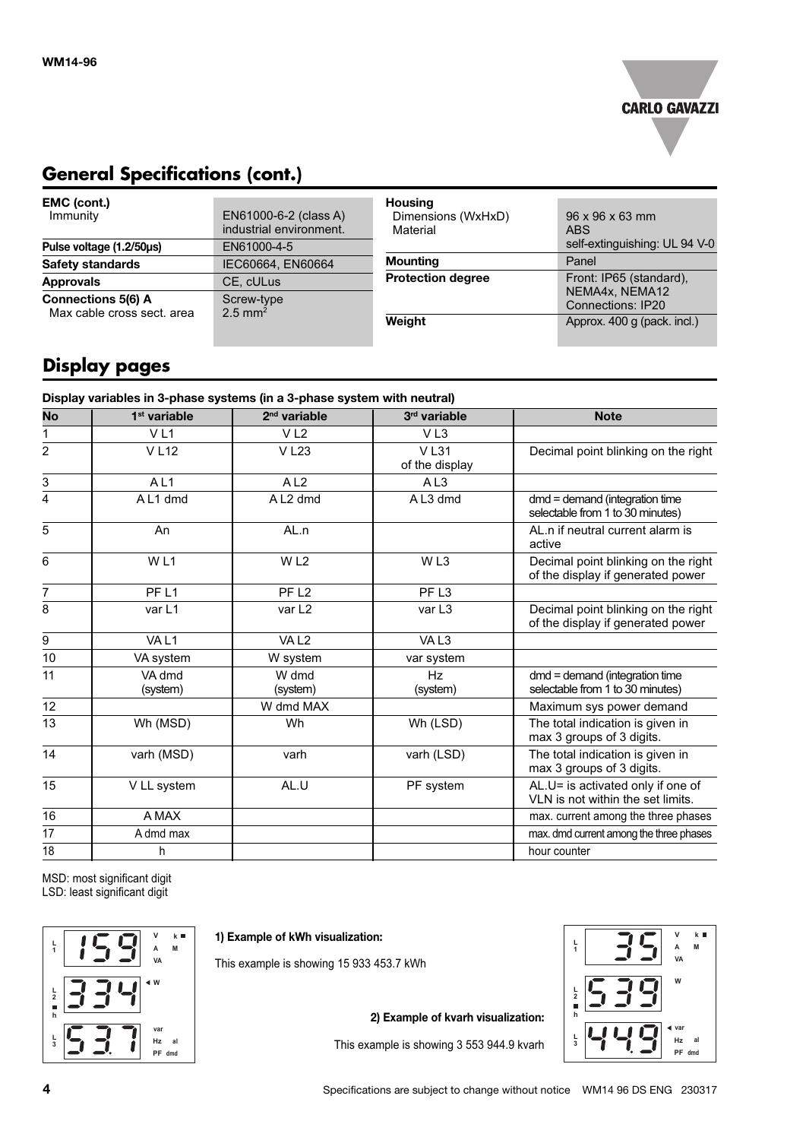

## **General Specifications (cont.)**

| EMC (cont.)<br>Immunity                                 | EN61000-6-2 (class A)<br>industrial environment. | <b>Housing</b><br>Dimensions (WxHxD)<br>Material | $96 \times 96 \times 63$ mm<br><b>ABS</b><br>self-extinguishing: UL 94 V-0 |
|---------------------------------------------------------|--------------------------------------------------|--------------------------------------------------|----------------------------------------------------------------------------|
| Pulse voltage (1.2/50us)<br><b>Safety standards</b>     | EN61000-4-5<br>IEC60664, EN60664                 | Mounting                                         | Panel                                                                      |
| <b>Approvals</b>                                        | CE. cULus                                        | <b>Protection degree</b>                         | Front: IP65 (standard),                                                    |
| <b>Connections 5(6) A</b><br>Max cable cross sect, area | Screw-type<br>$2.5 \text{ mm}^2$                 |                                                  | NEMA4x, NEMA12<br><b>Connections: IP20</b>                                 |
|                                                         |                                                  | Weight                                           | Approx. 400 g (pack. incl.)                                                |

# **Display pages**

| 1 <sup>st</sup> variable<br>V <sub>L1</sub> | $2nd$ variable       |                               |                                                                          |
|---------------------------------------------|----------------------|-------------------------------|--------------------------------------------------------------------------|
|                                             |                      | 3rd variable                  | <b>Note</b>                                                              |
|                                             | V <sub>L2</sub>      | VL <sub>3</sub>               |                                                                          |
| <b>VL12</b>                                 | <b>VL23</b>          | <b>VL31</b><br>of the display | Decimal point blinking on the right                                      |
| AL <sub>1</sub>                             | A <sub>L2</sub>      | A <sub>L3</sub>               |                                                                          |
| AL1 dmd                                     | A L <sub>2</sub> dmd | AL3 dmd                       | $dmd =$ demand (integration time<br>selectable from 1 to 30 minutes)     |
| An                                          | AL.n                 |                               | AL.n if neutral current alarm is<br>active                               |
| WL1                                         | W <sub>L2</sub>      | WL3                           | Decimal point blinking on the right<br>of the display if generated power |
| PF <sub>L1</sub>                            | PF <sub>L2</sub>     | PF <sub>L3</sub>              |                                                                          |
| var L1                                      | var L <sub>2</sub>   | var L3                        | Decimal point blinking on the right<br>of the display if generated power |
| VAL1                                        | VAL <sub>2</sub>     | VAL <sub>3</sub>              |                                                                          |
| VA system                                   | W system             | var system                    |                                                                          |
| VA dmd<br>(system)                          | W dmd<br>(system)    | Hz<br>(system)                | dmd = demand (integration time<br>selectable from 1 to 30 minutes)       |
|                                             | W dmd MAX            |                               | Maximum sys power demand                                                 |
| Wh (MSD)                                    | Wh                   | Wh (LSD)                      | The total indication is given in<br>max 3 groups of 3 digits.            |
| varh (MSD)                                  | varh                 | varh (LSD)                    | The total indication is given in<br>max 3 groups of 3 digits.            |
| V LL system                                 | AL.U                 | PF system                     | AL.U= is activated only if one of<br>VLN is not within the set limits.   |
| A MAX                                       |                      |                               | max. current among the three phases                                      |
| A dmd max                                   |                      |                               | max. dmd current among the three phases                                  |
| h                                           |                      |                               | hour counter                                                             |
|                                             |                      |                               |                                                                          |

MSD: most significant digit LSD: least significant digit



**1) Example of kWh visualization:**

This example is showing 15 933 453.7 kWh

**2) Example of kvarh visualization:**

This example is showing 3 553 944.9 kvarh

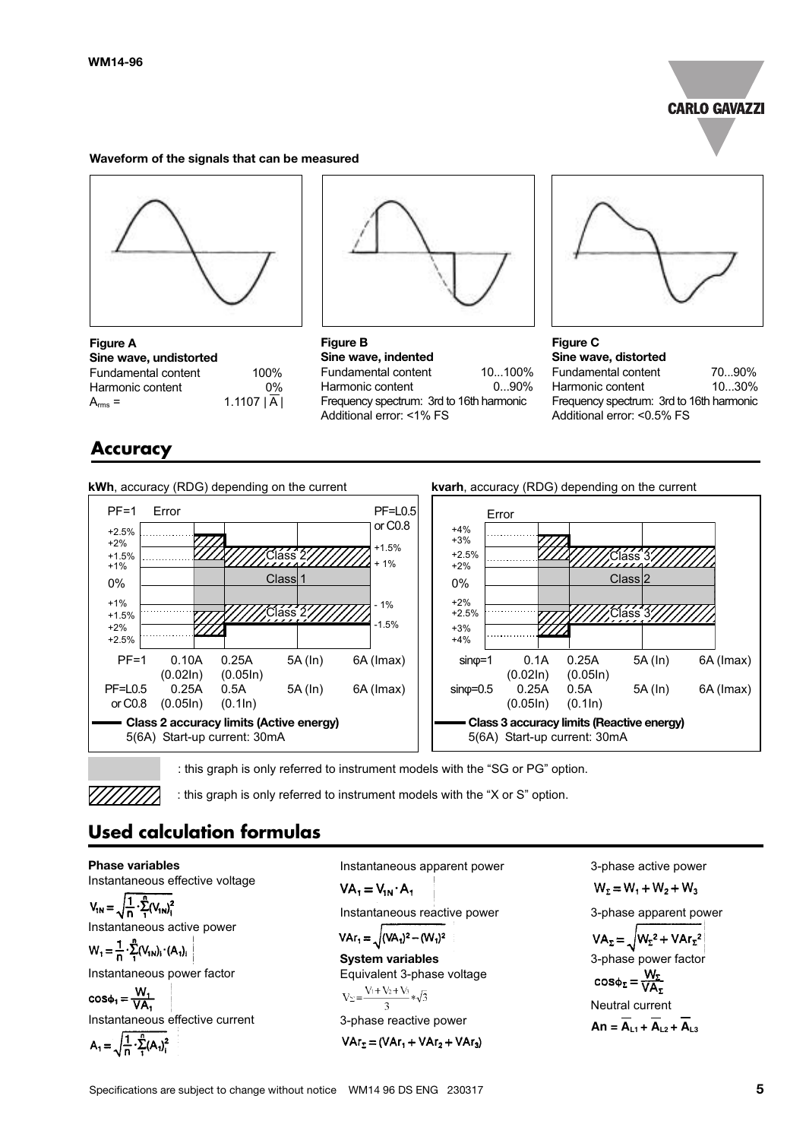

#### **Waveform of the signals that can be measured**



**Figure A Sine wave, undistorted** Fundamental content 100% Harmonic content 0%  $A_{rms} = 1.1107 |\overline{A}|$ 

## **Accuracy**

**kWh**, accuracy (RDG) depending on the current



**Figure B Sine wave, indented** Fundamental content 10...100% Harmonic content 0...90% Frequency spectrum: 3rd to 16th harmonic Additional error: <1% FS

![](_page_4_Figure_9.jpeg)

**Figure C Sine wave, distorted** Fundamental content 70...90% Harmonic content 10...30% Frequency spectrum: 3rd to 16th harmonic Additional error: <0.5% FS

![](_page_4_Figure_11.jpeg)

![](_page_4_Figure_12.jpeg)

![](_page_4_Figure_13.jpeg)

**Phase variables**

: this graph is only referred to instrument models with the "SG or PG" option.

: this graph is only referred to instrument models with the "X or S" option.

# **Used calculation formulas**

Instantaneous effective voltage  $V_{1N} = \sqrt{\frac{1}{n} \cdot \sum_{1}^{n} (V_{1N})_{1}^{2}}$ Instantaneous active power  $W_1 = \frac{1}{n} \cdot \sum_{i=1}^{n} (V_{1N})_i \cdot (A_1)_i$ Instantaneous power factor  $cos\phi_1 = \frac{W_1}{VA_2}$ Instantaneous effective current  $A_1 = \sqrt{\frac{1}{n} \cdot \sum_{i=1}^{n} (A_i)^2}$ 

Instantaneous apparent power  $VA_1 = V_{1N} \cdot A_1$ Instantaneous reactive power  $VAr_1 = \sqrt{(VA_1)^2 - (W_1)^2}$ **System variables** Equivalent 3-phase voltage<br>  $V_{\Sigma} = \frac{V_1 + V_2 + V_3}{3} * \sqrt{3}$ 

3-phase reactive power  

$$
VAr_z = (VAr_1 + VAr_2 + VAr_3)
$$

3-phase active power  $W_2 = W_1 + W_2 + W_3$ 3-phase apparent power  $VA_{\Sigma} = \sqrt{W_{\Sigma}^2 + VAr_{\Sigma}^2}$ 3-phase power factor  $cos\phi_z = \frac{W_z}{VA_z}$ Neutral current  $An = \overline{A_{11} + A_{12} + A_{13}}$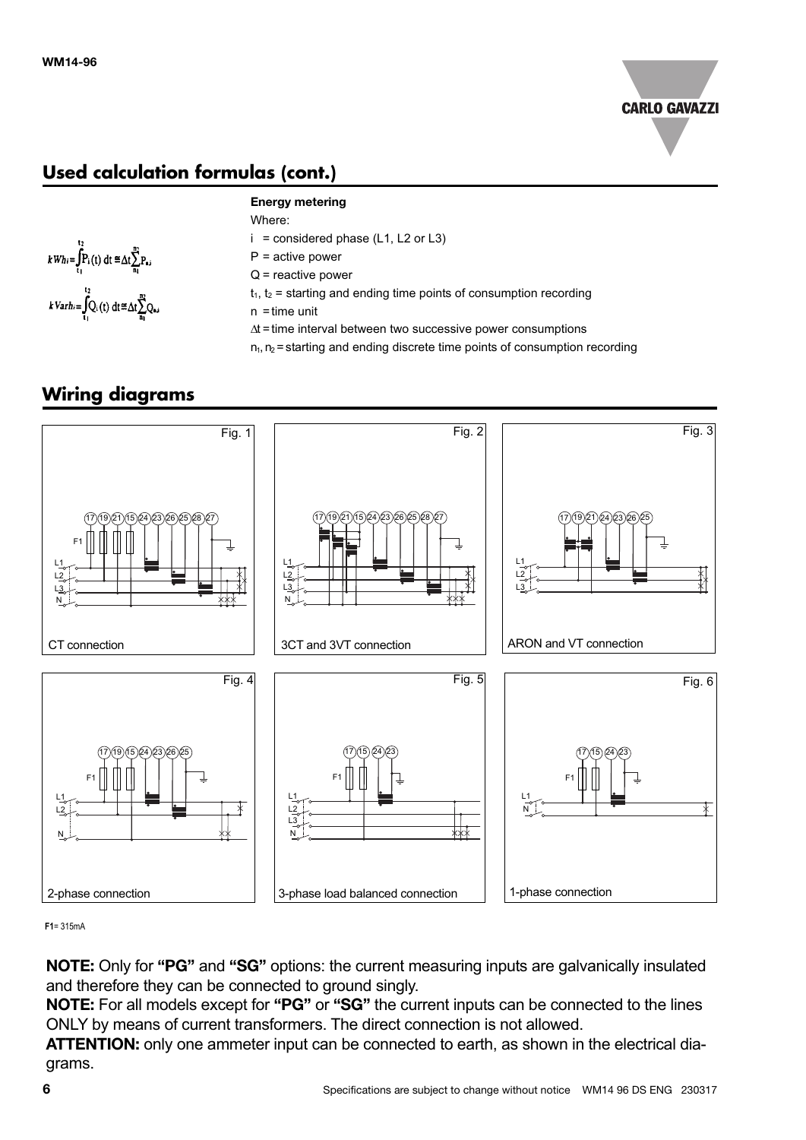![](_page_5_Picture_1.jpeg)

# **Used calculation formulas (cont.)**

![](_page_5_Figure_3.jpeg)

#### **Energy metering**

- Where:
- $i =$  considered phase (L1, L2 or L3)
- $P =$  active power
- Q = reactive power
- $t_1$ ,  $t_2$  = starting and ending time points of consumption recording
- $n =$ time unit
- ∆t =time interval between two successive power consumptions
- $n_1, n_2$  = starting and ending discrete time points of consumption recording

## **Wiring diagrams**

![](_page_5_Figure_14.jpeg)

**F1**= 315mA

**NOTE:** Only for **"PG"** and **"SG"** options: the current measuring inputs are galvanically insulated and therefore they can be connected to ground singly.

**NOTE:** For all models except for **"PG"** or **"SG"** the current inputs can be connected to the lines ONLY by means of current transformers. The direct connection is not allowed.

**ATTENTION:** only one ammeter input can be connected to earth, as shown in the electrical diagrams.